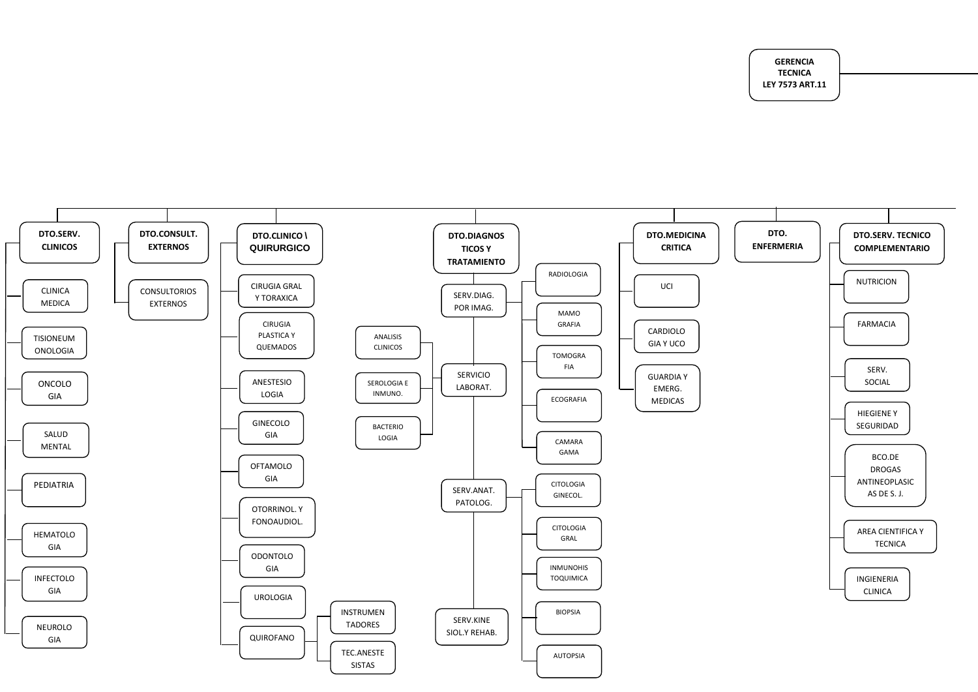**GERENCIA TECNICA LEY 7573 ART.11**

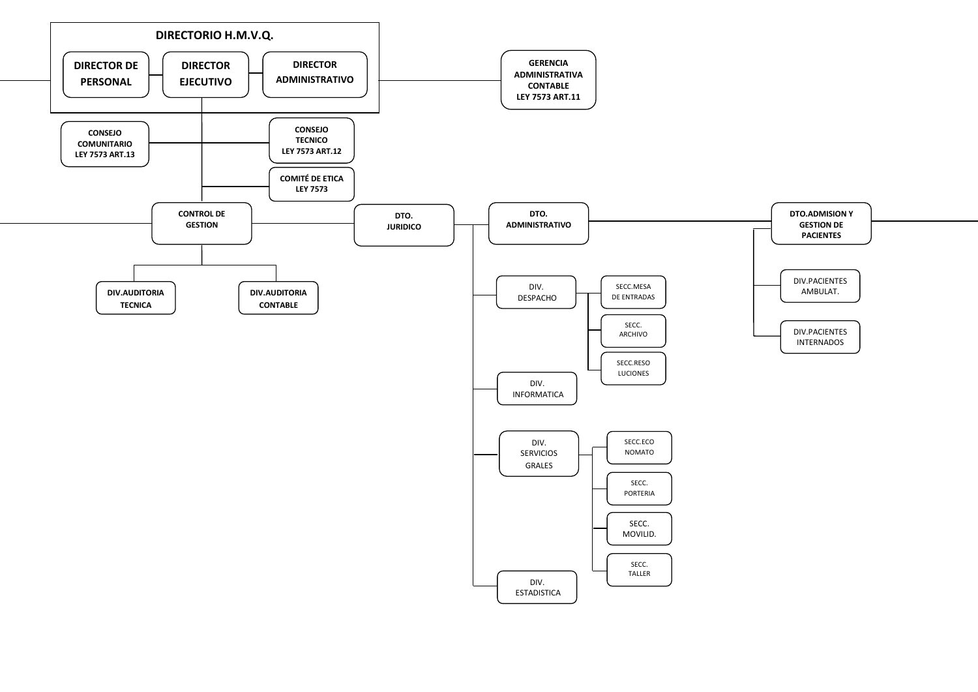